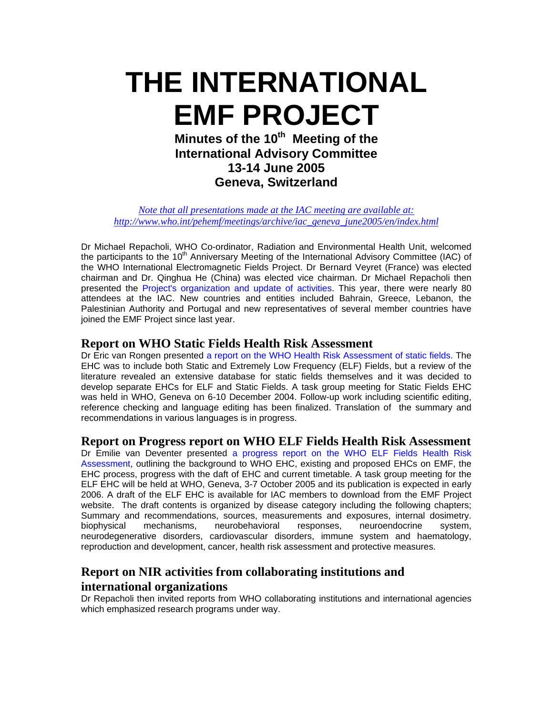# **THE INTERNATIONAL EMF PROJECT**

**Minutes of the 10<sup>th</sup> Meeting of the International Advisory Committee 13-14 June 2005 Geneva, Switzerland** 

*[Note that all presentations made at the IAC meeting are available at:](http://www.who.int/pehemf/meetings/archive/iac_geneva_june2005/en/index.html)  [http://www.who.int/pehemf/meetings/archive/iac\\_geneva\\_june2005/en/index.html](http://www.who.int/pehemf/meetings/archive/iac_geneva_june2005/en/index.html)*

Dr Michael Repacholi, WHO Co-ordinator, Radiation and Environmental Health Unit, welcomed the participants to the 10<sup>th</sup> Anniversary Meeting of the International Advisory Committee (IAC) of the WHO International Electromagnetic Fields Project. Dr Bernard Veyret (France) was elected chairman and Dr. Qinghua He (China) was elected vice chairman. Dr Michael Repacholi then presented the Project's organization and update of activities. This year, there were nearly 80 attendees at the IAC. New countries and entities included Bahrain, Greece, Lebanon, the Palestinian Authority and Portugal and new representatives of several member countries have joined the EMF Project since last year.

### **Report on WHO Static Fields Health Risk Assessment**

Dr Eric van Rongen presented a report on the WHO Health Risk Assessment of static fields. The EHC was to include both Static and Extremely Low Frequency (ELF) Fields, but a review of the literature revealed an extensive database for static fields themselves and it was decided to develop separate EHCs for ELF and Static Fields. A task group meeting for Static Fields EHC was held in WHO, Geneva on 6-10 December 2004. Follow-up work including scientific editing, reference checking and language editing has been finalized. Translation of the summary and recommendations in various languages is in progress.

## **Report on Progress report on WHO ELF Fields Health Risk Assessment**

Dr Emilie van Deventer presented a progress report on the WHO ELF Fields Health Risk Assessment, outlining the background to WHO EHC, existing and proposed EHCs on EMF, the EHC process, progress with the daft of EHC and current timetable. A task group meeting for the ELF EHC will be held at WHO, Geneva, 3-7 October 2005 and its publication is expected in early 2006. A draft of the ELF EHC is available for IAC members to download from the EMF Project website. The draft contents is organized by disease category including the following chapters; Summary and recommendations, sources, measurements and exposures, internal dosimetry. biophysical mechanisms, neurobehavioral responses, neuroendocrine system, neurodegenerative disorders, cardiovascular disorders, immune system and haematology, reproduction and development, cancer, health risk assessment and protective measures.

## **Report on NIR activities from collaborating institutions and international organizations**

Dr Repacholi then invited reports from WHO collaborating institutions and international agencies which emphasized research programs under way.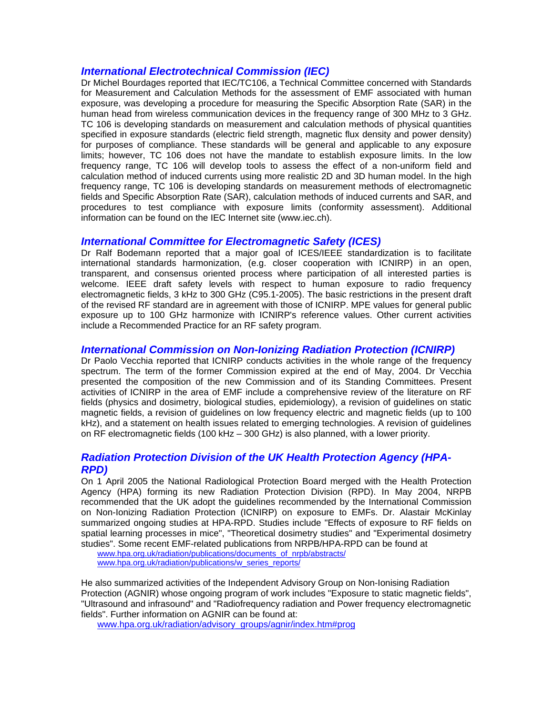#### *International Electrotechnical Commission (IEC)*

Dr Michel Bourdages reported that IEC/TC106, a Technical Committee concerned with Standards for Measurement and Calculation Methods for the assessment of EMF associated with human exposure, was developing a procedure for measuring the Specific Absorption Rate (SAR) in the human head from wireless communication devices in the frequency range of 300 MHz to 3 GHz. TC 106 is developing standards on measurement and calculation methods of physical quantities specified in exposure standards (electric field strength, magnetic flux density and power density) for purposes of compliance. These standards will be general and applicable to any exposure limits; however, TC 106 does not have the mandate to establish exposure limits. In the low frequency range, TC 106 will develop tools to assess the effect of a non-uniform field and calculation method of induced currents using more realistic 2D and 3D human model. In the high frequency range, TC 106 is developing standards on measurement methods of electromagnetic fields and Specific Absorption Rate (SAR), calculation methods of induced currents and SAR, and procedures to test compliance with exposure limits (conformity assessment). Additional information can be found on the IEC Internet site [\(www.iec.ch\)](http://www.iec.ch/).

#### *International Committee for Electromagnetic Safety (ICES)*

Dr Ralf Bodemann reported that a major goal of ICES/IEEE standardization is to facilitate international standards harmonization, (e.g. closer cooperation with ICNIRP) in an open, transparent, and consensus oriented process where participation of all interested parties is welcome. IEEE draft safety levels with respect to human exposure to radio frequency electromagnetic fields, 3 kHz to 300 GHz (C95.1-2005). The basic restrictions in the present draft of the revised RF standard are in agreement with those of ICNIRP. MPE values for general public exposure up to 100 GHz harmonize with ICNIRP's reference values. Other current activities include a Recommended Practice for an RF safety program.

#### *International Commission on Non-Ionizing Radiation Protection (ICNIRP)*

Dr Paolo Vecchia reported that ICNIRP conducts activities in the whole range of the frequency spectrum. The term of the former Commission expired at the end of May, 2004. Dr Vecchia presented the composition of the new Commission and of its Standing Committees. Present activities of ICNIRP in the area of EMF include a comprehensive review of the literature on RF fields (physics and dosimetry, biological studies, epidemiology), a revision of guidelines on static magnetic fields, a revision of guidelines on low frequency electric and magnetic fields (up to 100 kHz), and a statement on health issues related to emerging technologies. A revision of guidelines on RF electromagnetic fields (100 kHz – 300 GHz) is also planned, with a lower priority.

#### *Radiation Protection Division of the UK Health Protection Agency (HPA-RPD)*

On 1 April 2005 the National Radiological Protection Board merged with the Health Protection Agency (HPA) forming its new Radiation Protection Division (RPD). In May 2004, NRPB recommended that the UK adopt the guidelines recommended by the International Commission on Non-Ionizing Radiation Protection (ICNIRP) on exposure to EMFs. Dr. Alastair McKinlay summarized ongoing studies at HPA-RPD. Studies include "Effects of exposure to RF fields on spatial learning processes in mice", "Theoretical dosimetry studies" and "Experimental dosimetry studies". Some recent EMF-related publications from NRPB/HPA-RPD can be found at

www.hpa.org.uk/radiation/publications/documents\_of\_nrpb/abstracts/ www.hpa.org.uk/radiation/publications/w\_series\_reports/

He also summarized activities of the Independent Advisory Group on Non-Ionising Radiation Protection (AGNIR) whose ongoing program of work includes "Exposure to static magnetic fields", "Ultrasound and infrasound" and "Radiofrequency radiation and Power frequency electromagnetic fields". Further information on AGNIR can be found at:

www.hpa.org.uk/radiation/advisory\_groups/agnir/index.htm#prog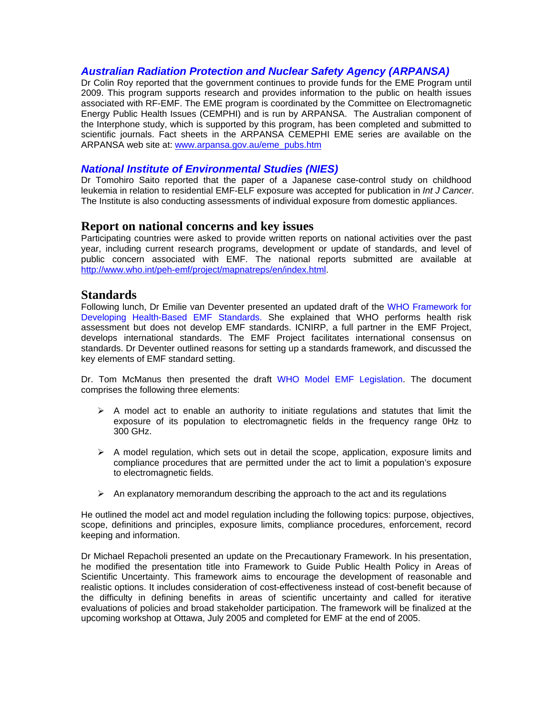#### *Australian Radiation Protection and Nuclear Safety Agency (ARPANSA)*

Dr Colin Roy reported that the government continues to provide funds for the EME Program until 2009. This program supports research and provides information to the public on health issues associated with RF-EMF. The EME program is coordinated by the Committee on Electromagnetic Energy Public Health Issues (CEMPHI) and is run by ARPANSA. The Australian component of the Interphone study, which is supported by this program, has been completed and submitted to scientific journals. Fact sheets in the ARPANSA CEMEPHI EME series are available on the ARPANSA web site at: [www.arpansa.gov.au/eme\\_pubs.htm](http://www.arpansa.gov.au/eme_pubs.htm)

#### *National Institute of Environmental Studies (NIES)*

Dr Tomohiro Saito reported that the paper of a Japanese case-control study on childhood leukemia in relation to residential EMF-ELF exposure was accepted for publication in *Int J Cancer*. The Institute is also conducting assessments of individual exposure from domestic appliances.

#### **Report on national concerns and key issues**

Participating countries were asked to provide written reports on national activities over the past year, including current research programs, development or update of standards, and level of public concern associated with EMF. The national reports submitted are available at <http://www.who.int/peh-emf/project/mapnatreps/en/index.html>.

#### **Standards**

Following lunch, Dr Emilie van Deventer presented an updated draft of the WHO Framework for Developing Health-Based EMF Standards. She explained that WHO performs health risk assessment but does not develop EMF standards. ICNIRP, a full partner in the EMF Project, develops international standards. The EMF Project facilitates international consensus on standards. Dr Deventer outlined reasons for setting up a standards framework, and discussed the key elements of EMF standard setting.

Dr. Tom McManus then presented the draft WHO Model EMF Legislation. The document comprises the following three elements:

- $\triangleright$  A model act to enable an authority to initiate regulations and statutes that limit the exposure of its population to electromagnetic fields in the frequency range 0Hz to 300 GHz.
- $\triangleright$  A model regulation, which sets out in detail the scope, application, exposure limits and compliance procedures that are permitted under the act to limit a population's exposure to electromagnetic fields.
- $\triangleright$  An explanatory memorandum describing the approach to the act and its regulations

He outlined the model act and model regulation including the following topics: purpose, objectives, scope, definitions and principles, exposure limits, compliance procedures, enforcement, record keeping and information.

Dr Michael Repacholi presented an update on the Precautionary Framework. In his presentation, he modified the presentation title into Framework to Guide Public Health Policy in Areas of Scientific Uncertainty. This framework aims to encourage the development of reasonable and realistic options. It includes consideration of cost-effectiveness instead of cost-benefit because of the difficulty in defining benefits in areas of scientific uncertainty and called for iterative evaluations of policies and broad stakeholder participation. The framework will be finalized at the upcoming workshop at Ottawa, July 2005 and completed for EMF at the end of 2005.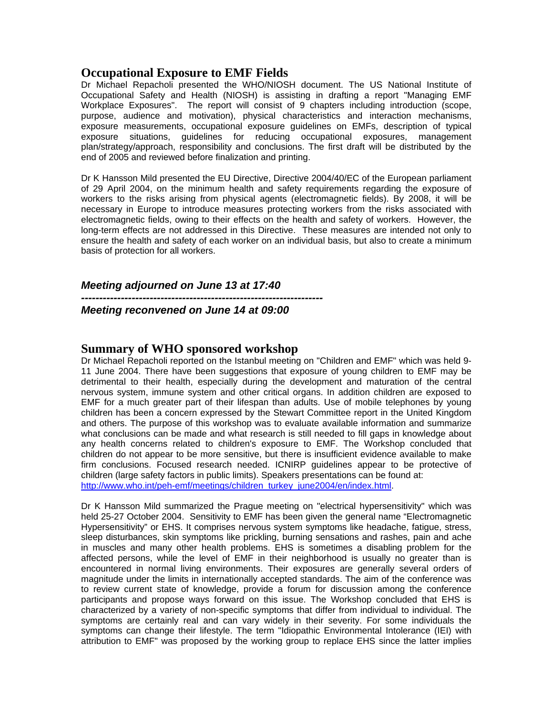## **Occupational Exposure to EMF Fields**

Dr Michael Repacholi presented the WHO/NIOSH document. The US National Institute of Occupational Safety and Health (NIOSH) is assisting in drafting a report "Managing EMF Workplace Exposures". The report will consist of 9 chapters including introduction (scope, purpose, audience and motivation), physical characteristics and interaction mechanisms, exposure measurements, occupational exposure guidelines on EMFs, description of typical exposure situations, guidelines for reducing occupational exposures, management plan/strategy/approach, responsibility and conclusions. The first draft will be distributed by the end of 2005 and reviewed before finalization and printing.

Dr K Hansson Mild presented the EU Directive, Directive 2004/40/EC of the European parliament of 29 April 2004, on the minimum health and safety requirements regarding the exposure of workers to the risks arising from physical agents (electromagnetic fields). By 2008, it will be necessary in Europe to introduce measures protecting workers from the risks associated with electromagnetic fields, owing to their effects on the health and safety of workers. However, the long-term effects are not addressed in this Directive. These measures are intended not only to ensure the health and safety of each worker on an individual basis, but also to create a minimum basis of protection for all workers.

*Meeting adjourned on June 13 at 17:40* 

*------------------------------------------------------------------- Meeting reconvened on June 14 at 09:00* 

## **Summary of WHO sponsored workshop**

Dr Michael Repacholi reported on the Istanbul meeting on "Children and EMF" which was held 9- 11 June 2004. There have been suggestions that exposure of young children to EMF may be detrimental to their health, especially during the development and maturation of the central nervous system, immune system and other critical organs. In addition children are exposed to EMF for a much greater part of their lifespan than adults. Use of mobile telephones by young children has been a concern expressed by the Stewart Committee report in the United Kingdom and others. The purpose of this workshop was to evaluate available information and summarize what conclusions can be made and what research is still needed to fill gaps in knowledge about any health concerns related to children's exposure to EMF. The Workshop concluded that children do not appear to be more sensitive, but there is insufficient evidence available to make firm conclusions. Focused research needed. ICNIRP guidelines appear to be protective of children (large safety factors in public limits). Speakers presentations can be found at: [http://www.who.int/peh-emf/meetings/children\\_turkey\\_june2004/en/index.html](http://www.who.int/peh-emf/meetings/children_turkey_june2004/en/index.html).

Dr K Hansson Mild summarized the Prague meeting on "electrical hypersensitivity" which was held 25-27 October 2004. Sensitivity to EMF has been given the general name "Electromagnetic Hypersensitivity" or EHS. It comprises nervous system symptoms like headache, fatigue, stress, sleep disturbances, skin symptoms like prickling, burning sensations and rashes, pain and ache in muscles and many other health problems. EHS is sometimes a disabling problem for the affected persons, while the level of EMF in their neighborhood is usually no greater than is encountered in normal living environments. Their exposures are generally several orders of magnitude under the limits in internationally accepted standards. The aim of the conference was to review current state of knowledge, provide a forum for discussion among the conference participants and propose ways forward on this issue. The Workshop concluded that EHS is characterized by a variety of non-specific symptoms that differ from individual to individual. The symptoms are certainly real and can vary widely in their severity. For some individuals the symptoms can change their lifestyle. The term "Idiopathic Environmental Intolerance (IEI) with attribution to EMF" was proposed by the working group to replace EHS since the latter implies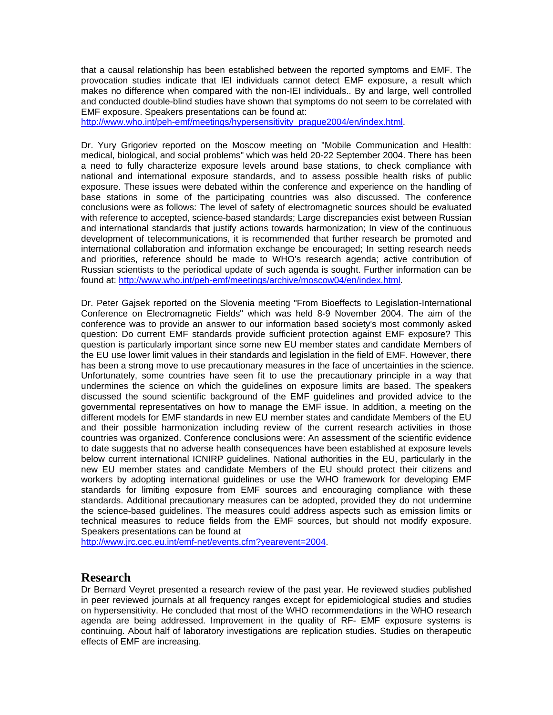that a causal relationship has been established between the reported symptoms and EMF. The provocation studies indicate that IEI individuals cannot detect EMF exposure, a result which makes no difference when compared with the non-IEI individuals.. By and large, well controlled and conducted double-blind studies have shown that symptoms do not seem to be correlated with EMF exposure. Speakers presentations can be found at:

[http://www.who.int/peh-emf/meetings/hypersensitivity\\_prague2004/en/index.html](http://www.who.int/peh-emf/meetings/hypersensitivity_prague2004/en/index.html).

Dr. Yury Grigoriev reported on the Moscow meeting on "Mobile Communication and Health: medical, biological, and social problems" which was held 20-22 September 2004. There has been a need to fully characterize exposure levels around base stations, to check compliance with national and international exposure standards, and to assess possible health risks of public exposure. These issues were debated within the conference and experience on the handling of base stations in some of the participating countries was also discussed. The conference conclusions were as follows: The level of safety of electromagnetic sources should be evaluated with reference to accepted, science-based standards; Large discrepancies exist between Russian and international standards that justify actions towards harmonization; In view of the continuous development of telecommunications, it is recommended that further research be promoted and international collaboration and information exchange be encouraged; In setting research needs and priorities, reference should be made to WHO's research agenda; active contribution of Russian scientists to the periodical update of such agenda is sought. Further information can be found at: <http://www.who.int/peh-emf/meetings/archive/moscow04/en/index.html>.

Dr. Peter Gajsek reported on the Slovenia meeting "From Bioeffects to Legislation-International Conference on Electromagnetic Fields" which was held 8-9 November 2004. The aim of the conference was to provide an answer to our information based society's most commonly asked question: Do current EMF standards provide sufficient protection against EMF exposure? This question is particularly important since some new EU member states and candidate Members of the EU use lower limit values in their standards and legislation in the field of EMF. However, there has been a strong move to use precautionary measures in the face of uncertainties in the science. Unfortunately, some countries have seen fit to use the precautionary principle in a way that undermines the science on which the guidelines on exposure limits are based. The speakers discussed the sound scientific background of the EMF guidelines and provided advice to the governmental representatives on how to manage the EMF issue. In addition, a meeting on the different models for EMF standards in new EU member states and candidate Members of the EU and their possible harmonization including review of the current research activities in those countries was organized. Conference conclusions were: An assessment of the scientific evidence to date suggests that no adverse health consequences have been established at exposure levels below current international ICNIRP guidelines. National authorities in the EU, particularly in the new EU member states and candidate Members of the EU should protect their citizens and workers by adopting international guidelines or use the WHO framework for developing EMF standards for limiting exposure from EMF sources and encouraging compliance with these standards. Additional precautionary measures can be adopted, provided they do not undermine the science-based guidelines. The measures could address aspects such as emission limits or technical measures to reduce fields from the EMF sources, but should not modify exposure. Speakers presentations can be found at

[http://www.jrc.cec.eu.int/emf-net/events.cfm?yearevent=2004.](http://www.jrc.cec.eu.int/emf-net/events.cfm?yearevent=2004)

## **Research**

Dr Bernard Veyret presented a research review of the past year. He reviewed studies published in peer reviewed journals at all frequency ranges except for epidemiological studies and studies on hypersensitivity. He concluded that most of the WHO recommendations in the WHO research agenda are being addressed. Improvement in the quality of RF- EMF exposure systems is continuing. About half of laboratory investigations are replication studies. Studies on therapeutic effects of EMF are increasing.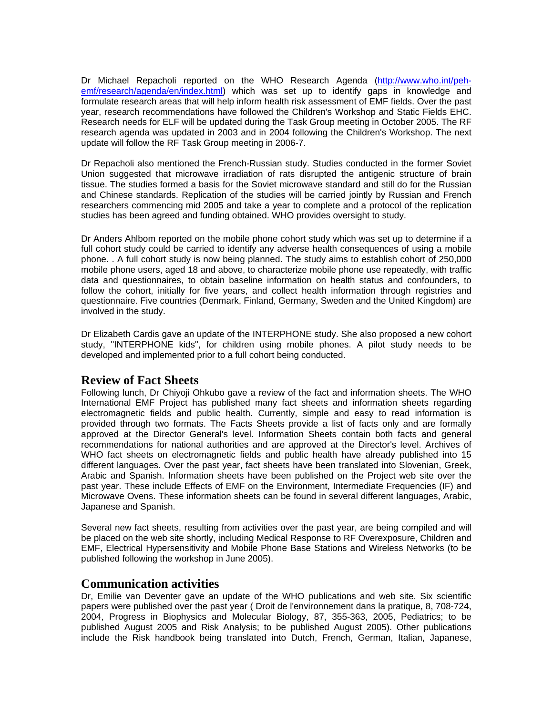Dr Michael Repacholi reported on the WHO Research Agenda [\(http://www.who.int/peh](http://www.who.int/peh-emf/research/agenda/en/index.html)[emf/research/agenda/en/index.html\)](http://www.who.int/peh-emf/research/agenda/en/index.html) which was set up to identify gaps in knowledge and formulate research areas that will help inform health risk assessment of EMF fields. Over the past year, research recommendations have followed the Children's Workshop and Static Fields EHC. Research needs for ELF will be updated during the Task Group meeting in October 2005. The RF research agenda was updated in 2003 and in 2004 following the Children's Workshop. The next update will follow the RF Task Group meeting in 2006-7.

Dr Repacholi also mentioned the French-Russian study. Studies conducted in the former Soviet Union suggested that microwave irradiation of rats disrupted the antigenic structure of brain tissue. The studies formed a basis for the Soviet microwave standard and still do for the Russian and Chinese standards. Replication of the studies will be carried jointly by Russian and French researchers commencing mid 2005 and take a year to complete and a protocol of the replication studies has been agreed and funding obtained. WHO provides oversight to study.

Dr Anders Ahlbom reported on the mobile phone cohort study which was set up to determine if a full cohort study could be carried to identify any adverse health consequences of using a mobile phone. . A full cohort study is now being planned. The study aims to establish cohort of 250,000 mobile phone users, aged 18 and above, to characterize mobile phone use repeatedly, with traffic data and questionnaires, to obtain baseline information on health status and confounders, to follow the cohort, initially for five years, and collect health information through registries and questionnaire. Five countries (Denmark, Finland, Germany, Sweden and the United Kingdom) are involved in the study.

Dr Elizabeth Cardis gave an update of the INTERPHONE study. She also proposed a new cohort study, "INTERPHONE kids", for children using mobile phones. A pilot study needs to be developed and implemented prior to a full cohort being conducted.

## **Review of Fact Sheets**

Following lunch, Dr Chiyoji Ohkubo gave a review of the fact and information sheets. The WHO International EMF Project has published many fact sheets and information sheets regarding electromagnetic fields and public health. Currently, simple and easy to read information is provided through two formats. The Facts Sheets provide a list of facts only and are formally approved at the Director General's level. Information Sheets contain both facts and general recommendations for national authorities and are approved at the Director's level. Archives of WHO fact sheets on electromagnetic fields and public health have already published into 15 different languages. Over the past year, fact sheets have been translated into Slovenian, Greek, Arabic and Spanish. Information sheets have been published on the Project web site over the past year. These include Effects of EMF on the Environment, Intermediate Frequencies (IF) and Microwave Ovens. These information sheets can be found in several different languages, Arabic, Japanese and Spanish.

Several new fact sheets, resulting from activities over the past year, are being compiled and will be placed on the web site shortly, including Medical Response to RF Overexposure, Children and EMF, Electrical Hypersensitivity and Mobile Phone Base Stations and Wireless Networks (to be published following the workshop in June 2005).

#### **Communication activities**

Dr, Emilie van Deventer gave an update of the WHO publications and web site. Six scientific papers were published over the past year ( Droit de l'environnement dans la pratique, 8, 708-724, 2004, Progress in Biophysics and Molecular Biology, 87, 355-363, 2005, Pediatrics; to be published August 2005 and Risk Analysis; to be published August 2005). Other publications include the Risk handbook being translated into Dutch, French, German, Italian, Japanese,